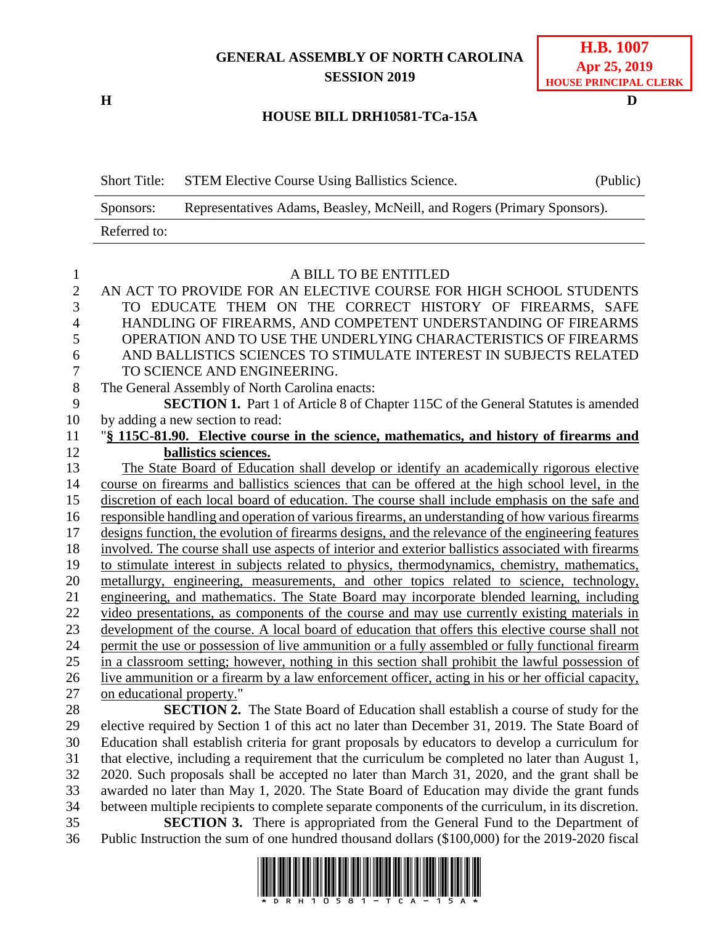## **GENERAL ASSEMBLY OF NORTH CAROLINA SESSION 2019**

### **H.B. 1007 Apr 25, 2019 HOUSE PRINCIPAL CLERK**

#### **H D**

#### **HOUSE BILL DRH10581-TCa-15A**

| <b>Short Title:</b> | <b>STEM Elective Course Using Ballistics Science.</b>                   | (Public) |
|---------------------|-------------------------------------------------------------------------|----------|
| Sponsors:           | Representatives Adams, Beasley, McNeill, and Rogers (Primary Sponsors). |          |
| Referred to:        |                                                                         |          |

| 1              | A BILL TO BE ENTITLED                                                                               |
|----------------|-----------------------------------------------------------------------------------------------------|
| $\overline{2}$ | AN ACT TO PROVIDE FOR AN ELECTIVE COURSE FOR HIGH SCHOOL STUDENTS                                   |
| 3              | TO EDUCATE THEM ON THE CORRECT HISTORY OF FIREARMS, SAFE                                            |
| $\overline{4}$ | HANDLING OF FIREARMS, AND COMPETENT UNDERSTANDING OF FIREARMS                                       |
| 5              | OPERATION AND TO USE THE UNDERLYING CHARACTERISTICS OF FIREARMS                                     |
| 6              | AND BALLISTICS SCIENCES TO STIMULATE INTEREST IN SUBJECTS RELATED                                   |
| 7              | TO SCIENCE AND ENGINEERING.                                                                         |
| 8              | The General Assembly of North Carolina enacts:                                                      |
| 9              | <b>SECTION 1.</b> Part 1 of Article 8 of Chapter 115C of the General Statutes is amended            |
| 10             | by adding a new section to read:                                                                    |
| 11             | "§ 115C-81.90. Elective course in the science, mathematics, and history of firearms and             |
| 12             | ballistics sciences.                                                                                |
| 13             | The State Board of Education shall develop or identify an academically rigorous elective            |
| 14             | course on firearms and ballistics sciences that can be offered at the high school level, in the     |
| 15             | discretion of each local board of education. The course shall include emphasis on the safe and      |
| 16             | responsible handling and operation of various firearms, an understanding of how various firearms    |
| 17             | designs function, the evolution of firearms designs, and the relevance of the engineering features  |
| 18             | involved. The course shall use aspects of interior and exterior ballistics associated with firearms |
| 19             | to stimulate interest in subjects related to physics, thermodynamics, chemistry, mathematics,       |
| 20             | metallurgy, engineering, measurements, and other topics related to science, technology,             |
| 21             | engineering, and mathematics. The State Board may incorporate blended learning, including           |
| 22             | video presentations, as components of the course and may use currently existing materials in        |
| 23             | development of the course. A local board of education that offers this elective course shall not    |
| 24             | permit the use or possession of live ammunition or a fully assembled or fully functional firearm    |
| 25             | in a classroom setting; however, nothing in this section shall prohibit the lawful possession of    |
| 26             | live ammunition or a firearm by a law enforcement officer, acting in his or her official capacity,  |
| 27             | on educational property."                                                                           |
| 28             | <b>SECTION 2.</b> The State Board of Education shall establish a course of study for the            |
| 29             | elective required by Section 1 of this act no later than December 31, 2019. The State Board of      |
| 30             | Education shall establish criteria for grant proposals by educators to develop a curriculum for     |
| 31             | that elective, including a requirement that the curriculum be completed no later than August 1,     |

 2020. Such proposals shall be accepted no later than March 31, 2020, and the grant shall be awarded no later than May 1, 2020. The State Board of Education may divide the grant funds between multiple recipients to complete separate components of the curriculum, in its discretion. **SECTION 3.** There is appropriated from the General Fund to the Department of

36 Public Instruction the sum of one hundred thousand dollars (\$100,000) for the 2019-2020 fiscal